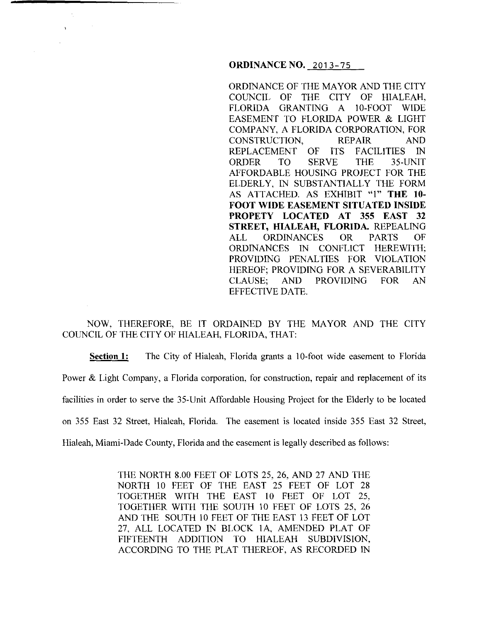## **ORDINANCENO.** 2013-75

 $\alpha$ 

ORDINANCE OF THE MAYOR AND THE CITY COUNCIL OF THE CITY OF HIALEAH, FLORIDA GRANTING A 10-FOOT WIDE EASEMENT TO FLORIDA POWER & LIGHT COMPANY, A FLORIDA CORPORATION, FOR CONSTRUCTION, REPAIR AND REPLACEMENT OF ITS FACILITIES IN ORDER TO SERVE THE 35-UNIT AFFORDABLE HOUSING PROJECT FOR THE ELDERLY, IN SUBSTANTIALLY THE FORM AS ATTACHED. AS EXHIBIT "!" **THE 10- FOOT WIDE EASEMENT SITUATED INSIDE PROPETY LOCATED AT 355 EAST 32 STREET, HIALEAH, FLORIDA.** REPEALING ALL ORDINANCES OR PARTS OF ORDINANCES IN CONFLICT HEREWITH; PROVIDING PENALTIES FOR VIOLATION HEREOF; PROVIDING FOR A SEVERABILITY CLAUSE; AND PROVIDING FOR AN EFFECTIVE DATE.

NOW, THEREFORE, BE IT ORDAINED BY THE MAYOR AND THE CITY COUNCIL OF THE CITY OF HIALEAH, FLORIDA, THAT:

**Section 1:** The City of Hialeah, Florida grants a 10-foot wide easement to Florida Power & Light Company, a Florida corporation, for construction, repair and replacement of its facilities in order to serve the 35-Unit Affordable Housing Project for the Elderly to be located on 355 East 32 Street, Hialeah, Florida. The easement is located inside 355 East 32 Street, Hialeah, Miami-Dade County, Florida and the easement is legally described as follows:

> THE NORTH 8.00 FEET OF LOTS 25, 26, AND 27 AND THE NORTH 10 FEET OF THE EAST 25 FEET OF LOT 28 TOGETHER WITH THE EAST 10 FEET OF LOT 25, TOGETHER WITH THE SOUTH 10 FEET OF LOTS 25, 26 AND THE SOUTH 10 FEET OF THE EAST 13 FEET OF LOT 27, ALL LOCATED IN BLOCK lA, AMENDED PLAT OF FIFTEENTH ADDITION TO HIALEAH SUBDIVISION, ACCORDING TO THE PLAT THEREOF, AS RECORDED IN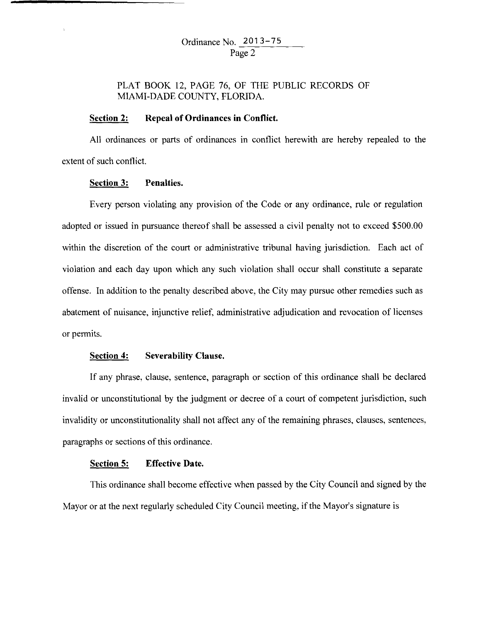# PLAT BOOK 12, PAGE 76, OF THE PUBLIC RECORDS OF MIAMI-DADE COUNTY, FLORIDA.

#### **Section 2: Repeal of Ordinances in Conflict.**

All ordinances or parts of ordinances in conflict herewith are hereby repealed to the extent of such conflict.

#### **Section 3: Penalties.**

 $\ddot{\phantom{a}}$ 

Every person violating any provision of the Code or any ordinance, rule or regulation adopted or issued in pursuance thereof shall be assessed a civil penalty not to exceed \$500.00 within the discretion of the court or administrative tribunal having jurisdiction. Each act of violation and each day upon which any such violation shall occur shall constitute a separate offense. In addition to the penalty described above, the City may pursue other remedies such as abatement of nuisance, injunctive relief, administrative adjudication and revocation of licenses or permits.

## **Section 4: Severability Clause.**

If any phrase, clause, sentence, paragraph or section of this ordinance shall be declared invalid or unconstitutional by the judgment or decree of a court of competent jurisdiction, such invalidity or unconstitutionality shall not affect any of the remaining phrases, clauses, sentences, paragraphs or sections of this ordinance.

## **Section 5: Effective Date.**

This ordinance shall become effective when passed by the City Council and signed by the Mayor or at the next regularly scheduled City Council meeting, if the Mayor's signature is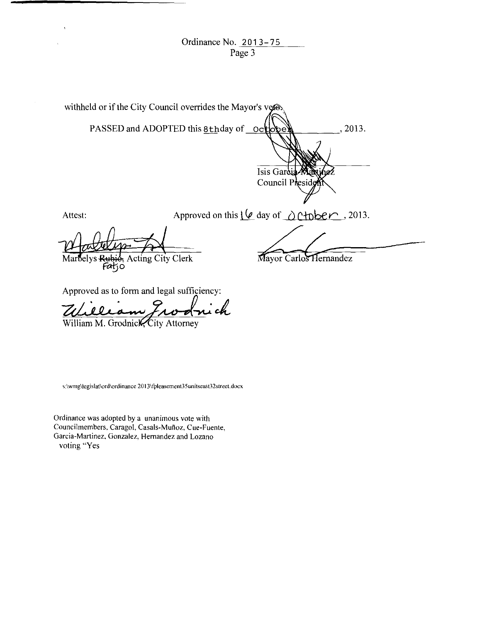Ordinance No. 2013-75 Page 3

| withheld or if the City Council overrides the Mayor's vertex- |                                                             |                        |
|---------------------------------------------------------------|-------------------------------------------------------------|------------------------|
|                                                               | PASSED and ADOPTED this 8thday of octobe                    | . 2013.                |
|                                                               | Isis Gardia                                                 | Council President      |
| Attest:                                                       | Approved on this $\varphi$ day of $\triangle$ C+pber, 2013. |                        |
| Marbelys Rubio, Acting City Clerk                             |                                                             | Mayor Carlos Hernandez |

Approved as to form and legal sufficiency:

 $\hat{\mathbf{A}}$ 

Zuilliam Prodrick

s: \ **wmg\legis lat\ord\ordinance** 20 I **3\fpleasement3 5 uni tseast32street. docx** 

**Ordinance was adopted by a unanimous vote with**  Councilmembers, Caragol, Casals-Muñoz, Cue-Fuente, Garcia-Martinez, Gonzalez, Hernandez and Lozano voting "Yes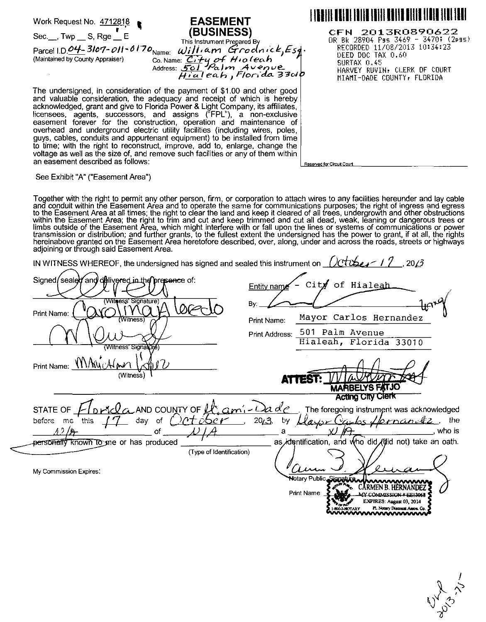Work Request No. 471281~ ' **EASEMENT**  Sec.\_\_, Twp \_\_ S, Rge \_\_ E<br>This Instrument Pregared By Parcel I.D.  $\underline{\mathcal{O}4}$ - 3/07-011-0170<sub>Name:</sub> *William Grodnick, Esq.*<br>(Maintained by County Appraiser) contained C:rry of Hip (eab) (Maintained by County Appraiser) Co. Name: *C<sub>1</sub>+y of H<sub>10</sub> (eah*) Address: 501 Palm Avenue<br>H<u>ial</u>eah , Florida 33ok The undersigned, in consideration of the payment of \$1.00 and other good and valuable consideration, the adequacy and receipt of which is hereby 1911 **1911 1911 1911 1911 1911 191** CFN 2013ROB90622 OR: P.k 28904 Pss 3469 - 3470; (2pss) RECORDED 11/08/2013 10:34:23 DEED DOC TAX 0.60 SURTAX 0.45 HARVEY RUVIN, CLERK OF COURT MIAMI -DADE COUNTY r FLORIDA

acknowledged, grant and give to Florida Power & Light Company, its affiliates, licensees, agents, successors, and assigns ("FPL"), a non-exclusive easement forever for the construction, operation and maintenance of overhead and underground electric utility facilities (including wires, poles, guys, cables, conduits and appurtenant equipment) to be installed from time to time; with the right to reconstruct, improve, add to, enlarge, change the voltage as well as the size of, and remove such facilities or any of them within an easement described as follows:

Reserved for Circuit Court

See Exhibit "A" ("Easement Area")

Together with the right to permit any other person, firm, or corporation to attach wires to any facilities hereunder and lay cable and conduit within the Easement Area and to operate the same for communications purposes; the right of ingress and egress to the Easement Area at all times; the right to clear the land and keep it cleared of all trees, undergrowth and other obstructions within the Easement Area; the right to trim and cut and keep trimmed and cut all dead, weak, leaning or dangerous trees or limbs outside of the Easement Area, which might interfere with or fall upon the lines or systems of communications or power transmission or distribution; and further grants, to the fullest extent the undersigned has the power to grant, if at all, the rights hereinabove granted on the Easement Area heretofore described, over, along, under and across the roads, streets or highways adjoining or through said Easement Area.

| IN WITNESS WHEREOF, the undersigned has signed and sealed this instrument on $1/dt$ | 20/3                                                                                                                                       |
|-------------------------------------------------------------------------------------|--------------------------------------------------------------------------------------------------------------------------------------------|
| Signed/sealed and delivered in the presence of:                                     | Cit $f$ of Hialeah<br><b>Entity name</b>                                                                                                   |
| (Witness' Signature)<br>Print Name:<br>(Witness                                     | Bv.<br>Mayor Carlos Hernandez<br>Print Name:                                                                                               |
| (Witness' Signature)                                                                | 501 Palm Avenue<br>Print Address:<br>Hialeah, Florida 33010                                                                                |
| Print Name: VIV/W                                                                   |                                                                                                                                            |
| (Witness)                                                                           | VARBELYS FATJO                                                                                                                             |
| STATE OF                                                                            | <b>Acting City Clerk</b><br>$\ell_{\alpha}$ AND COUNTY OF $\mu_{\alpha}$ and $\ell$ and $\ell$ . The foregoing instrument was acknowledged |
| ')ot <i>iber</i><br>before me this<br>day of                                        | $\frac{20}{3}$<br><u>layu Ca</u><br>by.<br>the<br><u>lornandez</u> ,<br>who is                                                             |
| personally known to me or has produced<br>(Type of Identification)                  | as identification, and who did (did not) take an oath.                                                                                     |
| My Commission Expires:                                                              | <b>N</b> otary Public, Siona<br><b>Print Name</b>                                                                                          |
|                                                                                     | EXPIRES: August 03, 2014                                                                                                                   |

Fl. Notary Discount As

www

**YTARY**